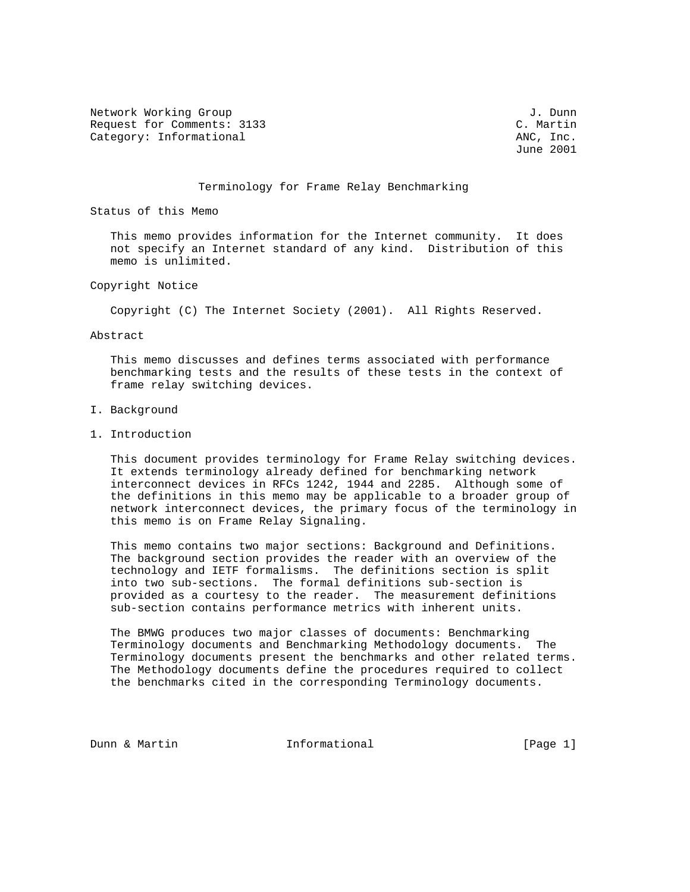Network Working Group J. Dunn Request for Comments: 3133<br>
Category: Informational and the comments: 3133<br>
Category: Informational and the comments of the comments of the comments of the comments of the comments of the comments of the comments of the co Category: Informational

June 2001

#### Terminology for Frame Relay Benchmarking

Status of this Memo

 This memo provides information for the Internet community. It does not specify an Internet standard of any kind. Distribution of this memo is unlimited.

Copyright Notice

Copyright (C) The Internet Society (2001). All Rights Reserved.

Abstract

 This memo discusses and defines terms associated with performance benchmarking tests and the results of these tests in the context of frame relay switching devices.

- I. Background
- 1. Introduction

 This document provides terminology for Frame Relay switching devices. It extends terminology already defined for benchmarking network interconnect devices in RFCs 1242, 1944 and 2285. Although some of the definitions in this memo may be applicable to a broader group of network interconnect devices, the primary focus of the terminology in this memo is on Frame Relay Signaling.

 This memo contains two major sections: Background and Definitions. The background section provides the reader with an overview of the technology and IETF formalisms. The definitions section is split into two sub-sections. The formal definitions sub-section is provided as a courtesy to the reader. The measurement definitions sub-section contains performance metrics with inherent units.

 The BMWG produces two major classes of documents: Benchmarking Terminology documents and Benchmarking Methodology documents. The Terminology documents present the benchmarks and other related terms. The Methodology documents define the procedures required to collect the benchmarks cited in the corresponding Terminology documents.

Dunn & Martin **Informational** [Page 1]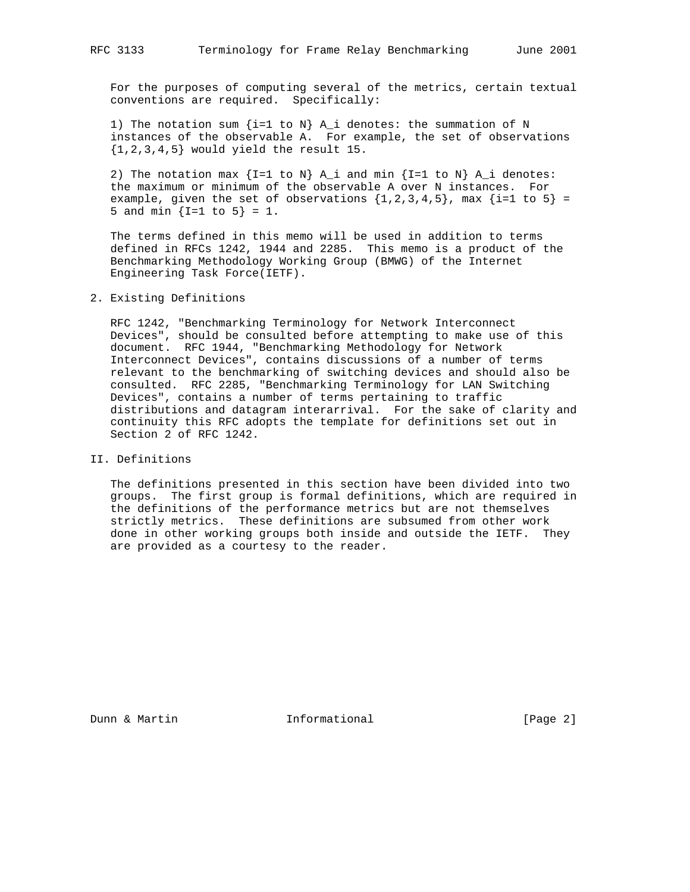For the purposes of computing several of the metrics, certain textual conventions are required. Specifically:

1) The notation sum  $\{i=1 \text{ to } N\}$  A\_i denotes: the summation of N instances of the observable A. For example, the set of observations  $\{1,2,3,4,5\}$  would yield the result 15.

2) The notation max  $\{I=1 \text{ to } N\}$  A\_i and min  $\{I=1 \text{ to } N\}$  A\_i denotes: the maximum or minimum of the observable A over N instances. For example, given the set of observations  $\{1,2,3,4,5\}$ , max  $\{i=1 \text{ to } 5\}$  = 5 and min  $\{I=1 \text{ to } 5\} = 1$ .

 The terms defined in this memo will be used in addition to terms defined in RFCs 1242, 1944 and 2285. This memo is a product of the Benchmarking Methodology Working Group (BMWG) of the Internet Engineering Task Force(IETF).

# 2. Existing Definitions

 RFC 1242, "Benchmarking Terminology for Network Interconnect Devices", should be consulted before attempting to make use of this document. RFC 1944, "Benchmarking Methodology for Network Interconnect Devices", contains discussions of a number of terms relevant to the benchmarking of switching devices and should also be consulted. RFC 2285, "Benchmarking Terminology for LAN Switching Devices", contains a number of terms pertaining to traffic distributions and datagram interarrival. For the sake of clarity and continuity this RFC adopts the template for definitions set out in Section 2 of RFC 1242.

#### II. Definitions

 The definitions presented in this section have been divided into two groups. The first group is formal definitions, which are required in the definitions of the performance metrics but are not themselves strictly metrics. These definitions are subsumed from other work done in other working groups both inside and outside the IETF. They are provided as a courtesy to the reader.

Dunn & Martin **Informational Informational** [Page 2]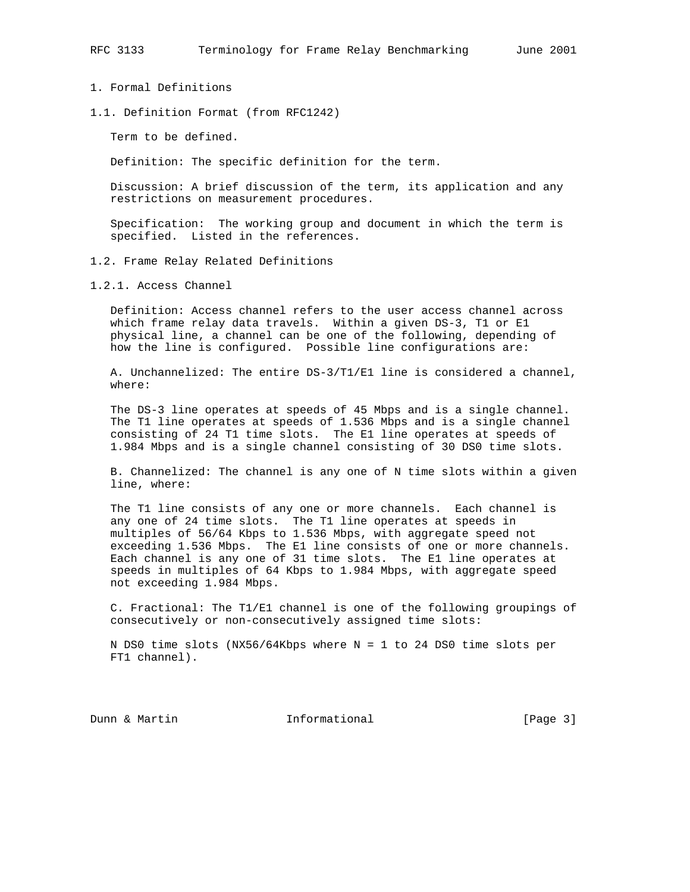- 1. Formal Definitions
- 1.1. Definition Format (from RFC1242)

Term to be defined.

Definition: The specific definition for the term.

 Discussion: A brief discussion of the term, its application and any restrictions on measurement procedures.

 Specification: The working group and document in which the term is specified. Listed in the references.

1.2. Frame Relay Related Definitions

1.2.1. Access Channel

 Definition: Access channel refers to the user access channel across which frame relay data travels. Within a given DS-3, T1 or E1 physical line, a channel can be one of the following, depending of how the line is configured. Possible line configurations are:

 A. Unchannelized: The entire DS-3/T1/E1 line is considered a channel, where:

 The DS-3 line operates at speeds of 45 Mbps and is a single channel. The T1 line operates at speeds of 1.536 Mbps and is a single channel consisting of 24 T1 time slots. The E1 line operates at speeds of 1.984 Mbps and is a single channel consisting of 30 DS0 time slots.

 B. Channelized: The channel is any one of N time slots within a given line, where:

 The T1 line consists of any one or more channels. Each channel is any one of 24 time slots. The T1 line operates at speeds in multiples of 56/64 Kbps to 1.536 Mbps, with aggregate speed not exceeding 1.536 Mbps. The E1 line consists of one or more channels. Each channel is any one of 31 time slots. The E1 line operates at speeds in multiples of 64 Kbps to 1.984 Mbps, with aggregate speed not exceeding 1.984 Mbps.

 C. Fractional: The T1/E1 channel is one of the following groupings of consecutively or non-consecutively assigned time slots:

 N DS0 time slots (NX56/64Kbps where N = 1 to 24 DS0 time slots per FT1 channel).

Dunn & Martin **Informational** [Page 3]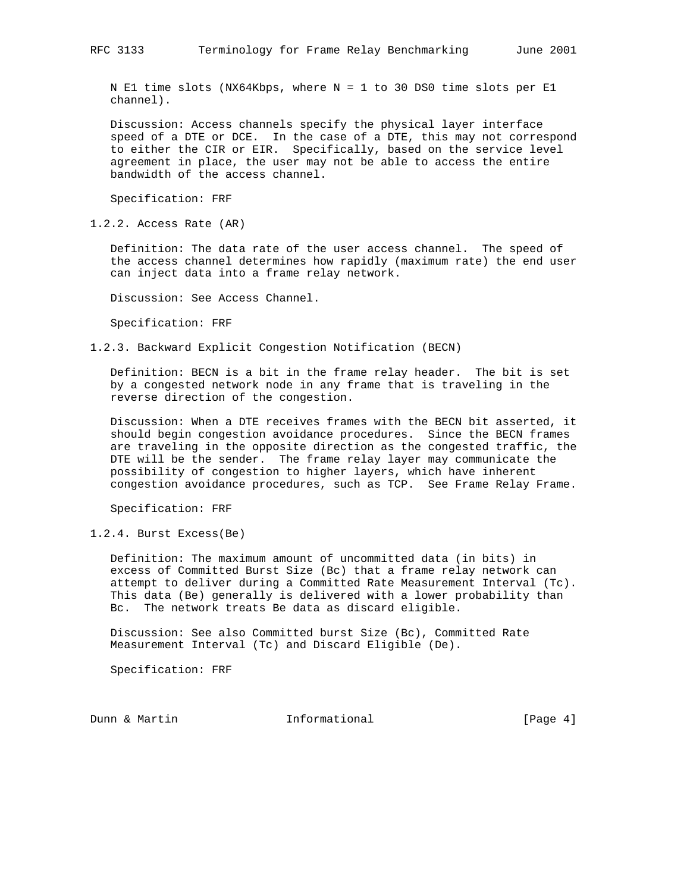N E1 time slots (NX64Kbps, where N = 1 to 30 DS0 time slots per E1 channel).

 Discussion: Access channels specify the physical layer interface speed of a DTE or DCE. In the case of a DTE, this may not correspond to either the CIR or EIR. Specifically, based on the service level agreement in place, the user may not be able to access the entire bandwidth of the access channel.

Specification: FRF

1.2.2. Access Rate (AR)

 Definition: The data rate of the user access channel. The speed of the access channel determines how rapidly (maximum rate) the end user can inject data into a frame relay network.

Discussion: See Access Channel.

Specification: FRF

1.2.3. Backward Explicit Congestion Notification (BECN)

 Definition: BECN is a bit in the frame relay header. The bit is set by a congested network node in any frame that is traveling in the reverse direction of the congestion.

 Discussion: When a DTE receives frames with the BECN bit asserted, it should begin congestion avoidance procedures. Since the BECN frames are traveling in the opposite direction as the congested traffic, the DTE will be the sender. The frame relay layer may communicate the possibility of congestion to higher layers, which have inherent congestion avoidance procedures, such as TCP. See Frame Relay Frame.

Specification: FRF

1.2.4. Burst Excess(Be)

 Definition: The maximum amount of uncommitted data (in bits) in excess of Committed Burst Size (Bc) that a frame relay network can attempt to deliver during a Committed Rate Measurement Interval (Tc). This data (Be) generally is delivered with a lower probability than Bc. The network treats Be data as discard eligible.

 Discussion: See also Committed burst Size (Bc), Committed Rate Measurement Interval (Tc) and Discard Eligible (De).

Specification: FRF

Dunn & Martin **Informational** [Page 4]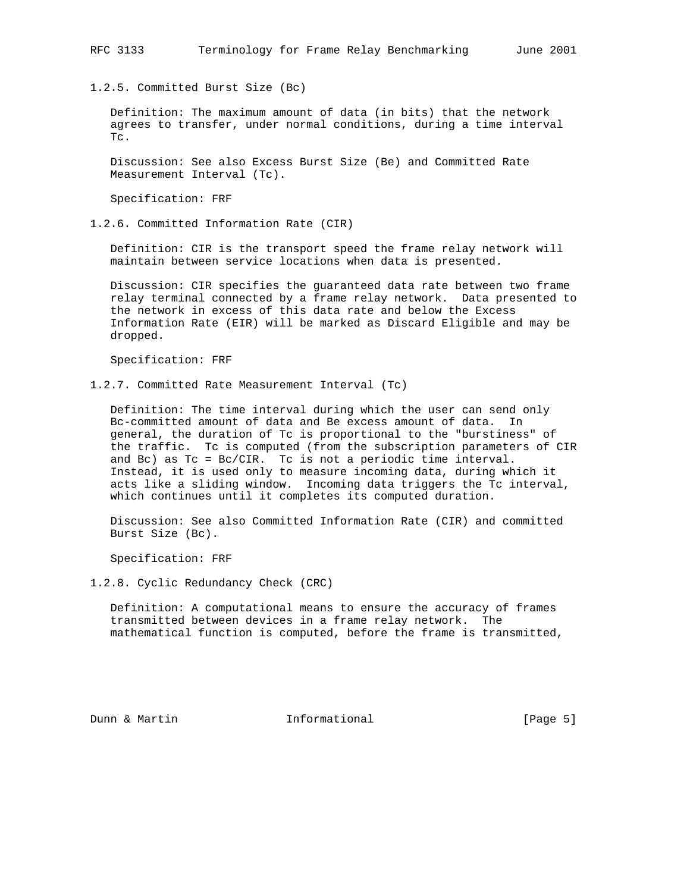1.2.5. Committed Burst Size (Bc)

 Definition: The maximum amount of data (in bits) that the network agrees to transfer, under normal conditions, during a time interval Tc.

 Discussion: See also Excess Burst Size (Be) and Committed Rate Measurement Interval (Tc).

Specification: FRF

1.2.6. Committed Information Rate (CIR)

 Definition: CIR is the transport speed the frame relay network will maintain between service locations when data is presented.

 Discussion: CIR specifies the guaranteed data rate between two frame relay terminal connected by a frame relay network. Data presented to the network in excess of this data rate and below the Excess Information Rate (EIR) will be marked as Discard Eligible and may be dropped.

Specification: FRF

1.2.7. Committed Rate Measurement Interval (Tc)

 Definition: The time interval during which the user can send only Bc-committed amount of data and Be excess amount of data. In general, the duration of Tc is proportional to the "burstiness" of the traffic. Tc is computed (from the subscription parameters of CIR and Bc) as Tc = Bc/CIR. Tc is not a periodic time interval. Instead, it is used only to measure incoming data, during which it acts like a sliding window. Incoming data triggers the Tc interval, which continues until it completes its computed duration.

 Discussion: See also Committed Information Rate (CIR) and committed Burst Size (Bc).

Specification: FRF

1.2.8. Cyclic Redundancy Check (CRC)

 Definition: A computational means to ensure the accuracy of frames transmitted between devices in a frame relay network. The mathematical function is computed, before the frame is transmitted,

Dunn & Martin **Informational Informational** [Page 5]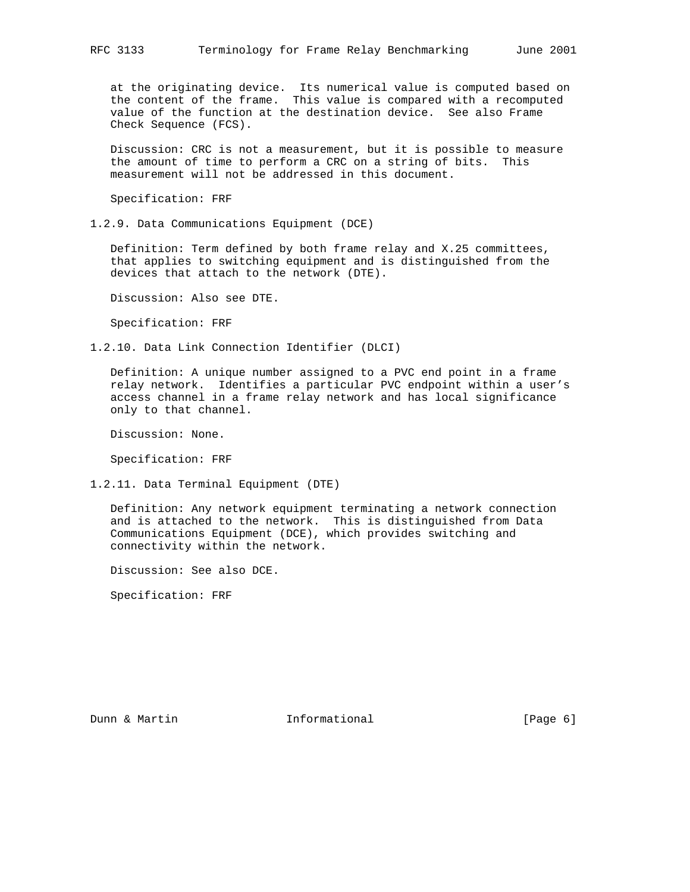at the originating device. Its numerical value is computed based on the content of the frame. This value is compared with a recomputed value of the function at the destination device. See also Frame Check Sequence (FCS).

 Discussion: CRC is not a measurement, but it is possible to measure the amount of time to perform a CRC on a string of bits. This measurement will not be addressed in this document.

Specification: FRF

1.2.9. Data Communications Equipment (DCE)

 Definition: Term defined by both frame relay and X.25 committees, that applies to switching equipment and is distinguished from the devices that attach to the network (DTE).

Discussion: Also see DTE.

Specification: FRF

1.2.10. Data Link Connection Identifier (DLCI)

 Definition: A unique number assigned to a PVC end point in a frame relay network. Identifies a particular PVC endpoint within a user's access channel in a frame relay network and has local significance only to that channel.

Discussion: None.

Specification: FRF

1.2.11. Data Terminal Equipment (DTE)

 Definition: Any network equipment terminating a network connection and is attached to the network. This is distinguished from Data Communications Equipment (DCE), which provides switching and connectivity within the network.

Discussion: See also DCE.

Specification: FRF

Dunn & Martin **Informational Informational** [Page 6]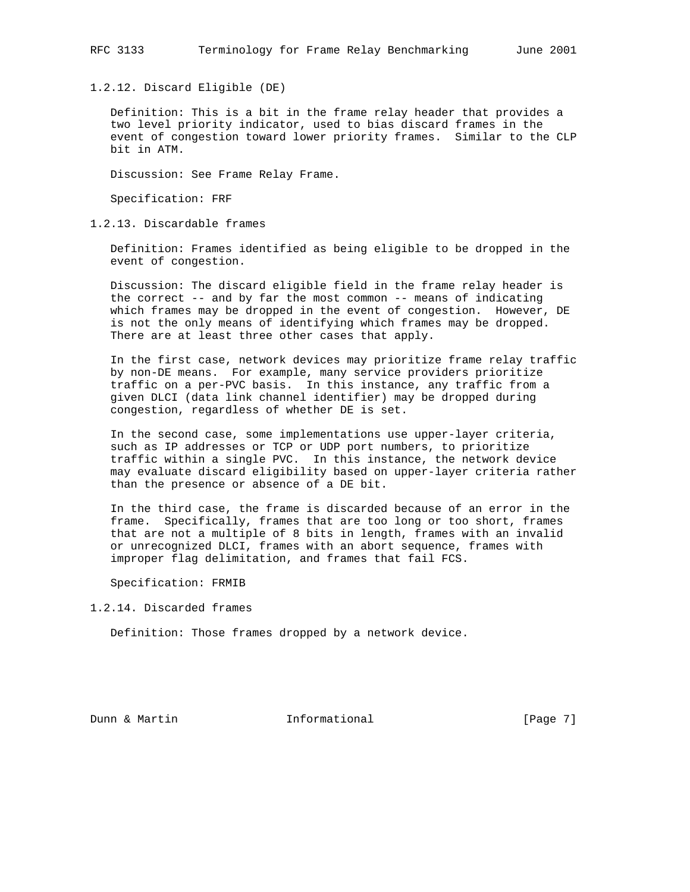1.2.12. Discard Eligible (DE)

 Definition: This is a bit in the frame relay header that provides a two level priority indicator, used to bias discard frames in the event of congestion toward lower priority frames. Similar to the CLP bit in ATM.

Discussion: See Frame Relay Frame.

Specification: FRF

1.2.13. Discardable frames

 Definition: Frames identified as being eligible to be dropped in the event of congestion.

 Discussion: The discard eligible field in the frame relay header is the correct -- and by far the most common -- means of indicating which frames may be dropped in the event of congestion. However, DE is not the only means of identifying which frames may be dropped. There are at least three other cases that apply.

 In the first case, network devices may prioritize frame relay traffic by non-DE means. For example, many service providers prioritize traffic on a per-PVC basis. In this instance, any traffic from a given DLCI (data link channel identifier) may be dropped during congestion, regardless of whether DE is set.

 In the second case, some implementations use upper-layer criteria, such as IP addresses or TCP or UDP port numbers, to prioritize traffic within a single PVC. In this instance, the network device may evaluate discard eligibility based on upper-layer criteria rather than the presence or absence of a DE bit.

 In the third case, the frame is discarded because of an error in the frame. Specifically, frames that are too long or too short, frames that are not a multiple of 8 bits in length, frames with an invalid or unrecognized DLCI, frames with an abort sequence, frames with improper flag delimitation, and frames that fail FCS.

Specification: FRMIB

1.2.14. Discarded frames

Definition: Those frames dropped by a network device.

Dunn & Martin **Informational Informational** [Page 7]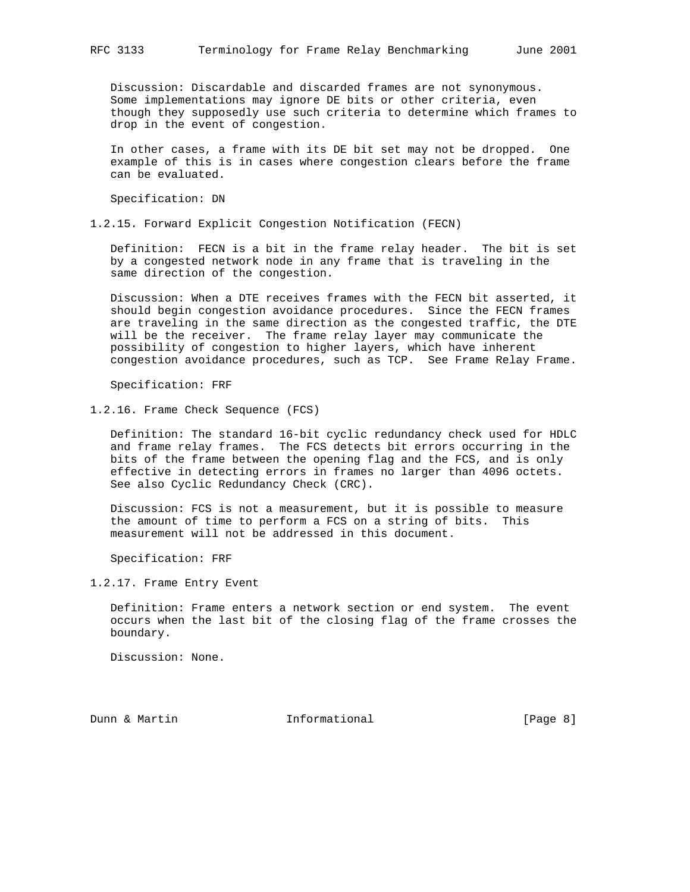Discussion: Discardable and discarded frames are not synonymous. Some implementations may ignore DE bits or other criteria, even though they supposedly use such criteria to determine which frames to drop in the event of congestion.

 In other cases, a frame with its DE bit set may not be dropped. One example of this is in cases where congestion clears before the frame can be evaluated.

Specification: DN

1.2.15. Forward Explicit Congestion Notification (FECN)

 Definition: FECN is a bit in the frame relay header. The bit is set by a congested network node in any frame that is traveling in the same direction of the congestion.

 Discussion: When a DTE receives frames with the FECN bit asserted, it should begin congestion avoidance procedures. Since the FECN frames are traveling in the same direction as the congested traffic, the DTE will be the receiver. The frame relay layer may communicate the possibility of congestion to higher layers, which have inherent congestion avoidance procedures, such as TCP. See Frame Relay Frame.

Specification: FRF

1.2.16. Frame Check Sequence (FCS)

 Definition: The standard 16-bit cyclic redundancy check used for HDLC and frame relay frames. The FCS detects bit errors occurring in the bits of the frame between the opening flag and the FCS, and is only effective in detecting errors in frames no larger than 4096 octets. See also Cyclic Redundancy Check (CRC).

 Discussion: FCS is not a measurement, but it is possible to measure the amount of time to perform a FCS on a string of bits. This measurement will not be addressed in this document.

Specification: FRF

1.2.17. Frame Entry Event

 Definition: Frame enters a network section or end system. The event occurs when the last bit of the closing flag of the frame crosses the boundary.

Discussion: None.

Dunn & Martin **Informational Informational** [Page 8]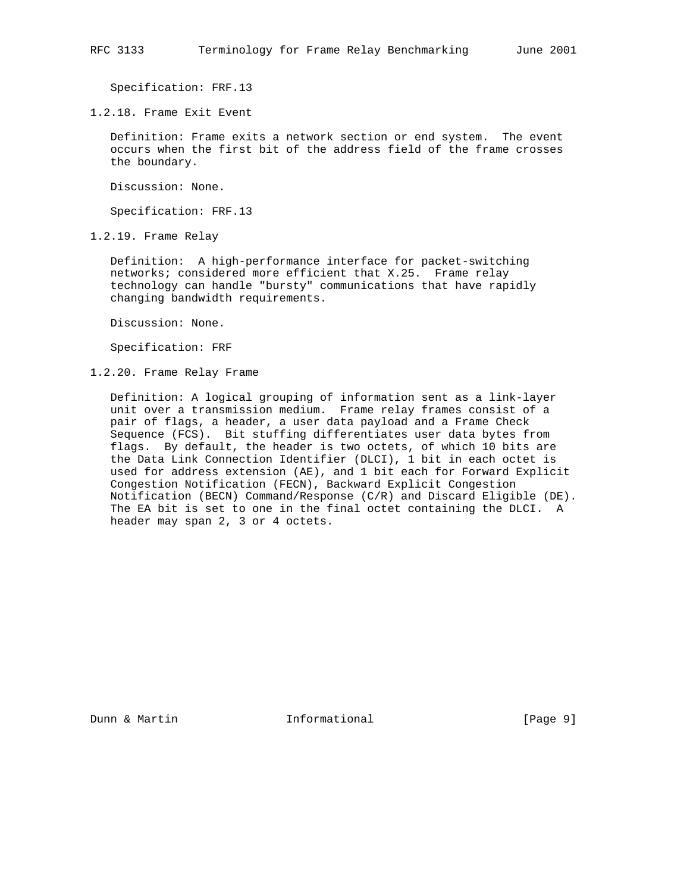Specification: FRF.13

1.2.18. Frame Exit Event

 Definition: Frame exits a network section or end system. The event occurs when the first bit of the address field of the frame crosses the boundary.

Discussion: None.

Specification: FRF.13

1.2.19. Frame Relay

 Definition: A high-performance interface for packet-switching networks; considered more efficient that X.25. Frame relay technology can handle "bursty" communications that have rapidly changing bandwidth requirements.

Discussion: None.

Specification: FRF

1.2.20. Frame Relay Frame

 Definition: A logical grouping of information sent as a link-layer unit over a transmission medium. Frame relay frames consist of a pair of flags, a header, a user data payload and a Frame Check Sequence (FCS). Bit stuffing differentiates user data bytes from flags. By default, the header is two octets, of which 10 bits are the Data Link Connection Identifier (DLCI), 1 bit in each octet is used for address extension (AE), and 1 bit each for Forward Explicit Congestion Notification (FECN), Backward Explicit Congestion Notification (BECN) Command/Response (C/R) and Discard Eligible (DE). The EA bit is set to one in the final octet containing the DLCI. A header may span 2, 3 or 4 octets.

Dunn & Martin **Informational Informational** [Page 9]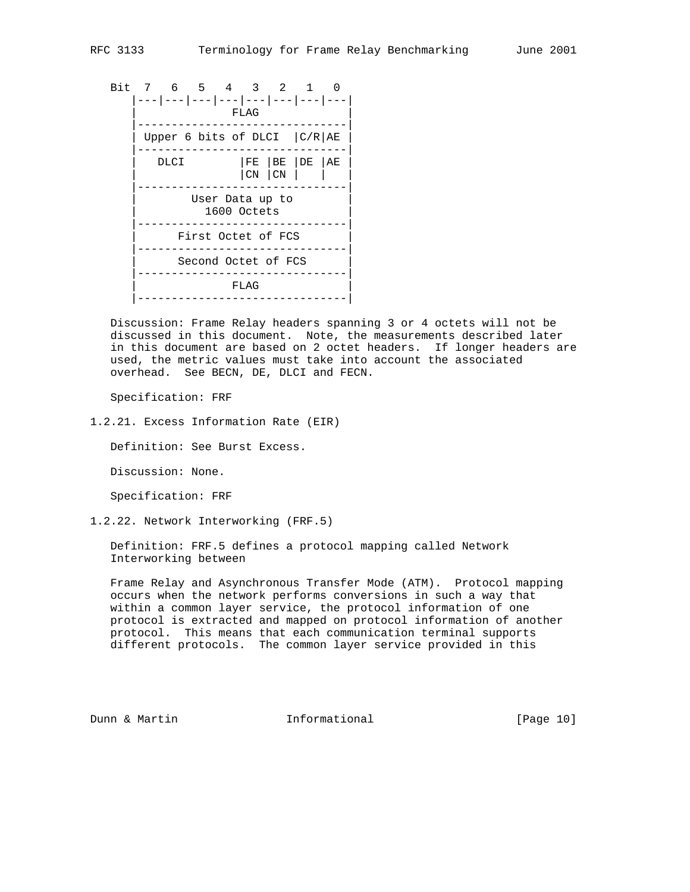Bit 7 6 5 4 3 2 1 0 |---|---|---|---|---|---|---|---| | FLAG | |-------------------------------| Upper 6 bits of DLCI  $|C/R|AE$  |-------------------------------|  $DLCI$   $|FE|BE|DE|AE$  $| \text{CN} | \text{CN} |$  |-------------------------------| User Data up to 1600 Octets |-------------------------------| | First Octet of FCS | |-------------------------------| Second Octet of FCS |-------------------------------|  $FLAG$ |-------------------------------|

 Discussion: Frame Relay headers spanning 3 or 4 octets will not be discussed in this document. Note, the measurements described later in this document are based on 2 octet headers. If longer headers are used, the metric values must take into account the associated overhead. See BECN, DE, DLCI and FECN.

Specification: FRF

1.2.21. Excess Information Rate (EIR)

Definition: See Burst Excess.

Discussion: None.

Specification: FRF

1.2.22. Network Interworking (FRF.5)

 Definition: FRF.5 defines a protocol mapping called Network Interworking between

 Frame Relay and Asynchronous Transfer Mode (ATM). Protocol mapping occurs when the network performs conversions in such a way that within a common layer service, the protocol information of one protocol is extracted and mapped on protocol information of another protocol. This means that each communication terminal supports different protocols. The common layer service provided in this

Dunn & Martin **Informational** [Page 10]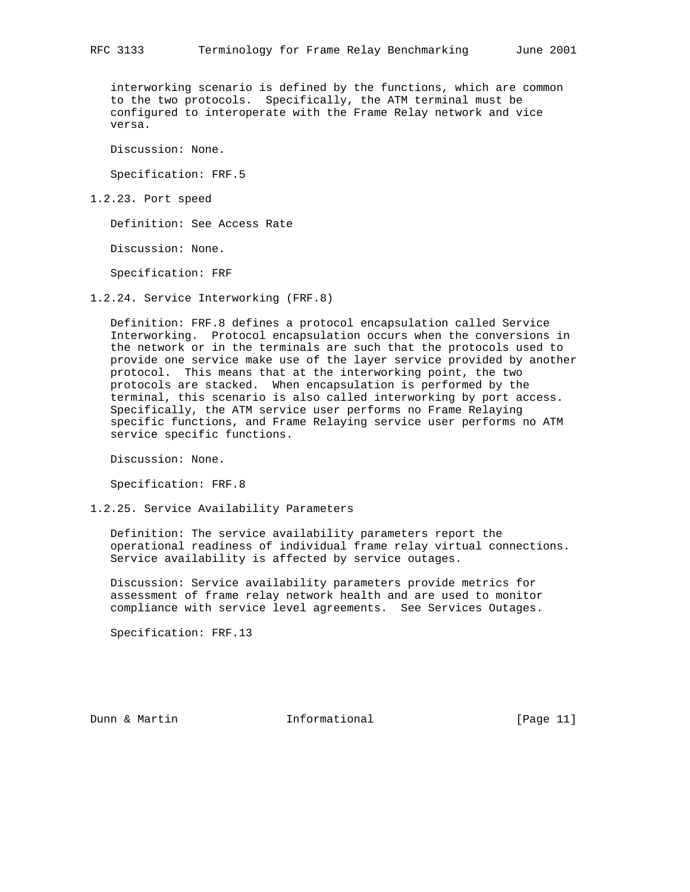interworking scenario is defined by the functions, which are common to the two protocols. Specifically, the ATM terminal must be configured to interoperate with the Frame Relay network and vice versa.

Discussion: None.

Specification: FRF.5

1.2.23. Port speed

Definition: See Access Rate

Discussion: None.

Specification: FRF

1.2.24. Service Interworking (FRF.8)

 Definition: FRF.8 defines a protocol encapsulation called Service Interworking. Protocol encapsulation occurs when the conversions in the network or in the terminals are such that the protocols used to provide one service make use of the layer service provided by another protocol. This means that at the interworking point, the two protocols are stacked. When encapsulation is performed by the terminal, this scenario is also called interworking by port access. Specifically, the ATM service user performs no Frame Relaying specific functions, and Frame Relaying service user performs no ATM service specific functions.

Discussion: None.

Specification: FRF.8

1.2.25. Service Availability Parameters

 Definition: The service availability parameters report the operational readiness of individual frame relay virtual connections. Service availability is affected by service outages.

 Discussion: Service availability parameters provide metrics for assessment of frame relay network health and are used to monitor compliance with service level agreements. See Services Outages.

Specification: FRF.13

Dunn & Martin **Informational** [Page 11]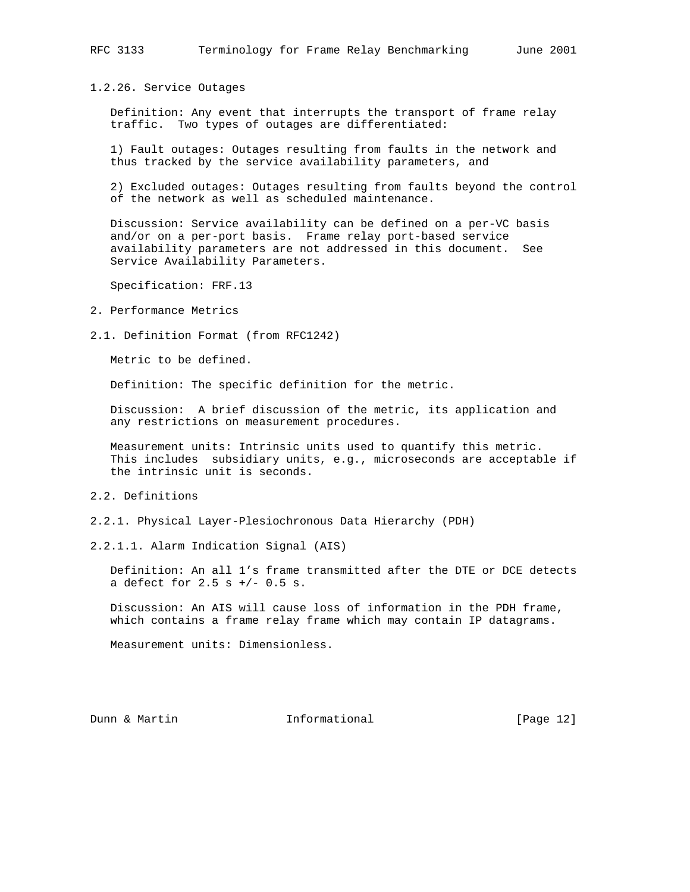1.2.26. Service Outages

 Definition: Any event that interrupts the transport of frame relay traffic. Two types of outages are differentiated:

 1) Fault outages: Outages resulting from faults in the network and thus tracked by the service availability parameters, and

 2) Excluded outages: Outages resulting from faults beyond the control of the network as well as scheduled maintenance.

 Discussion: Service availability can be defined on a per-VC basis and/or on a per-port basis. Frame relay port-based service availability parameters are not addressed in this document. See Service Availability Parameters.

Specification: FRF.13

- 2. Performance Metrics
- 2.1. Definition Format (from RFC1242)

Metric to be defined.

Definition: The specific definition for the metric.

 Discussion: A brief discussion of the metric, its application and any restrictions on measurement procedures.

 Measurement units: Intrinsic units used to quantify this metric. This includes subsidiary units, e.g., microseconds are acceptable if the intrinsic unit is seconds.

# 2.2. Definitions

2.2.1. Physical Layer-Plesiochronous Data Hierarchy (PDH)

2.2.1.1. Alarm Indication Signal (AIS)

 Definition: An all 1's frame transmitted after the DTE or DCE detects a defect for  $2.5$  s  $+/-$  0.5 s.

 Discussion: An AIS will cause loss of information in the PDH frame, which contains a frame relay frame which may contain IP datagrams.

Measurement units: Dimensionless.

Dunn & Martin **Informational** [Page 12]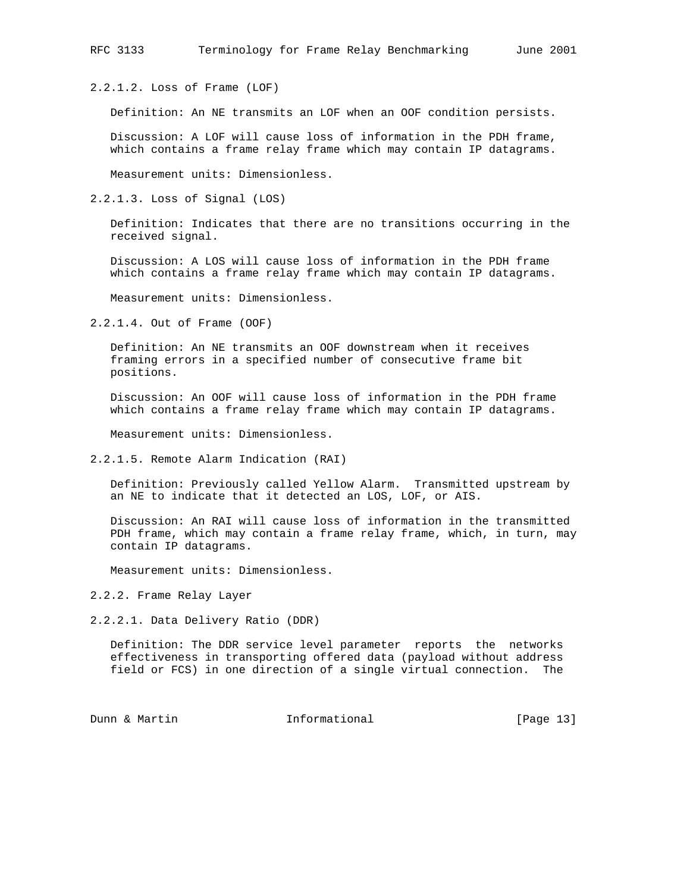2.2.1.2. Loss of Frame (LOF)

Definition: An NE transmits an LOF when an OOF condition persists.

 Discussion: A LOF will cause loss of information in the PDH frame, which contains a frame relay frame which may contain IP datagrams.

Measurement units: Dimensionless.

2.2.1.3. Loss of Signal (LOS)

 Definition: Indicates that there are no transitions occurring in the received signal.

 Discussion: A LOS will cause loss of information in the PDH frame which contains a frame relay frame which may contain IP datagrams.

Measurement units: Dimensionless.

2.2.1.4. Out of Frame (OOF)

 Definition: An NE transmits an OOF downstream when it receives framing errors in a specified number of consecutive frame bit positions.

 Discussion: An OOF will cause loss of information in the PDH frame which contains a frame relay frame which may contain IP datagrams.

Measurement units: Dimensionless.

2.2.1.5. Remote Alarm Indication (RAI)

 Definition: Previously called Yellow Alarm. Transmitted upstream by an NE to indicate that it detected an LOS, LOF, or AIS.

 Discussion: An RAI will cause loss of information in the transmitted PDH frame, which may contain a frame relay frame, which, in turn, may contain IP datagrams.

Measurement units: Dimensionless.

2.2.2. Frame Relay Layer

2.2.2.1. Data Delivery Ratio (DDR)

 Definition: The DDR service level parameter reports the networks effectiveness in transporting offered data (payload without address field or FCS) in one direction of a single virtual connection. The

Dunn & Martin **Informational** [Page 13]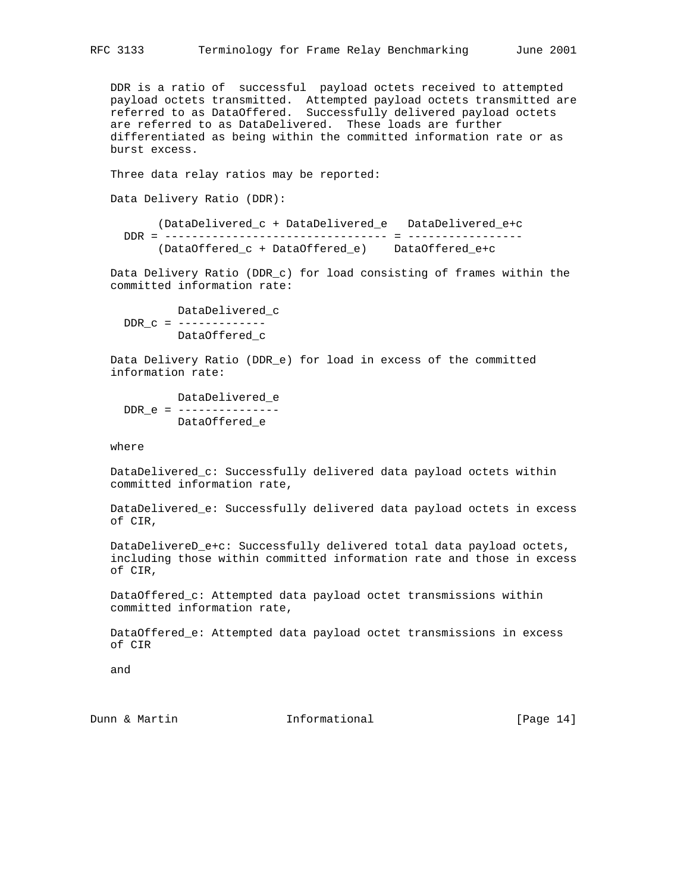DDR is a ratio of successful payload octets received to attempted payload octets transmitted. Attempted payload octets transmitted are referred to as DataOffered. Successfully delivered payload octets are referred to as DataDelivered. These loads are further differentiated as being within the committed information rate or as burst excess.

Three data relay ratios may be reported:

Data Delivery Ratio (DDR):

 (DataDelivered\_c + DataDelivered\_e DataDelivered\_e+c DDR = --------------------------------- = ----------------- (DataOffered\_c + DataOffered\_e) DataOffered\_e+c

 Data Delivery Ratio (DDR\_c) for load consisting of frames within the committed information rate:

 DataDelivered\_c  $DDR_C =$  -------------DataOffered\_c

 Data Delivery Ratio (DDR\_e) for load in excess of the committed information rate:

 DataDelivered\_e DDR\_e = --------------- DataOffered\_e

where

 DataDelivered\_c: Successfully delivered data payload octets within committed information rate,

 DataDelivered\_e: Successfully delivered data payload octets in excess of CIR,

 DataDelivereD\_e+c: Successfully delivered total data payload octets, including those within committed information rate and those in excess of CIR,

 DataOffered\_c: Attempted data payload octet transmissions within committed information rate,

 DataOffered\_e: Attempted data payload octet transmissions in excess of CIR

and

Dunn & Martin **Informational** [Page 14]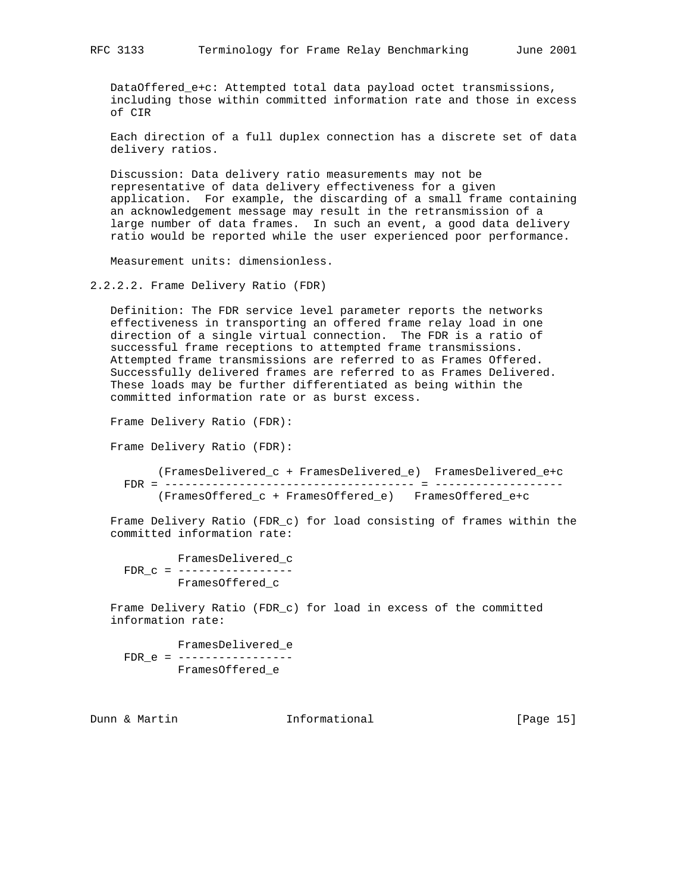DataOffered\_e+c: Attempted total data payload octet transmissions, including those within committed information rate and those in excess of CIR

 Each direction of a full duplex connection has a discrete set of data delivery ratios.

 Discussion: Data delivery ratio measurements may not be representative of data delivery effectiveness for a given application. For example, the discarding of a small frame containing an acknowledgement message may result in the retransmission of a large number of data frames. In such an event, a good data delivery ratio would be reported while the user experienced poor performance.

Measurement units: dimensionless.

2.2.2.2. Frame Delivery Ratio (FDR)

 Definition: The FDR service level parameter reports the networks effectiveness in transporting an offered frame relay load in one direction of a single virtual connection. The FDR is a ratio of successful frame receptions to attempted frame transmissions. Attempted frame transmissions are referred to as Frames Offered. Successfully delivered frames are referred to as Frames Delivered. These loads may be further differentiated as being within the committed information rate or as burst excess.

Frame Delivery Ratio (FDR):

Frame Delivery Ratio (FDR):

 (FramesDelivered\_c + FramesDelivered\_e) FramesDelivered\_e+c FDR = ------------------------------------- = ------------------- (FramesOffered\_c + FramesOffered\_e) FramesOffered\_e+c

 Frame Delivery Ratio (FDR\_c) for load consisting of frames within the committed information rate:

 FramesDelivered\_c FDR\_c = ----------------- FramesOffered\_c

 Frame Delivery Ratio (FDR\_c) for load in excess of the committed information rate:

 FramesDelivered\_e FDR\_e = ----------------- FramesOffered\_e

Dunn & Martin **Informational** [Page 15]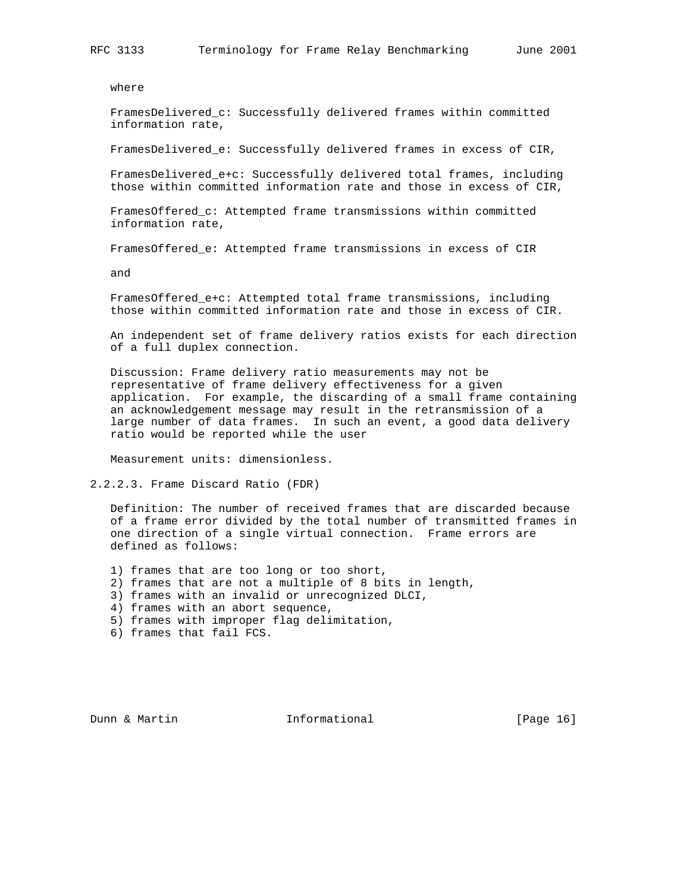where

 FramesDelivered\_c: Successfully delivered frames within committed information rate,

FramesDelivered\_e: Successfully delivered frames in excess of CIR,

 FramesDelivered\_e+c: Successfully delivered total frames, including those within committed information rate and those in excess of CIR,

 FramesOffered\_c: Attempted frame transmissions within committed information rate,

FramesOffered\_e: Attempted frame transmissions in excess of CIR

and

 FramesOffered\_e+c: Attempted total frame transmissions, including those within committed information rate and those in excess of CIR.

 An independent set of frame delivery ratios exists for each direction of a full duplex connection.

 Discussion: Frame delivery ratio measurements may not be representative of frame delivery effectiveness for a given application. For example, the discarding of a small frame containing an acknowledgement message may result in the retransmission of a large number of data frames. In such an event, a good data delivery ratio would be reported while the user

Measurement units: dimensionless.

2.2.2.3. Frame Discard Ratio (FDR)

 Definition: The number of received frames that are discarded because of a frame error divided by the total number of transmitted frames in one direction of a single virtual connection. Frame errors are defined as follows:

1) frames that are too long or too short,

- 2) frames that are not a multiple of 8 bits in length,
- 3) frames with an invalid or unrecognized DLCI,
- 4) frames with an abort sequence,
- 5) frames with improper flag delimitation,
- 6) frames that fail FCS.

Dunn & Martin **Informational** [Page 16]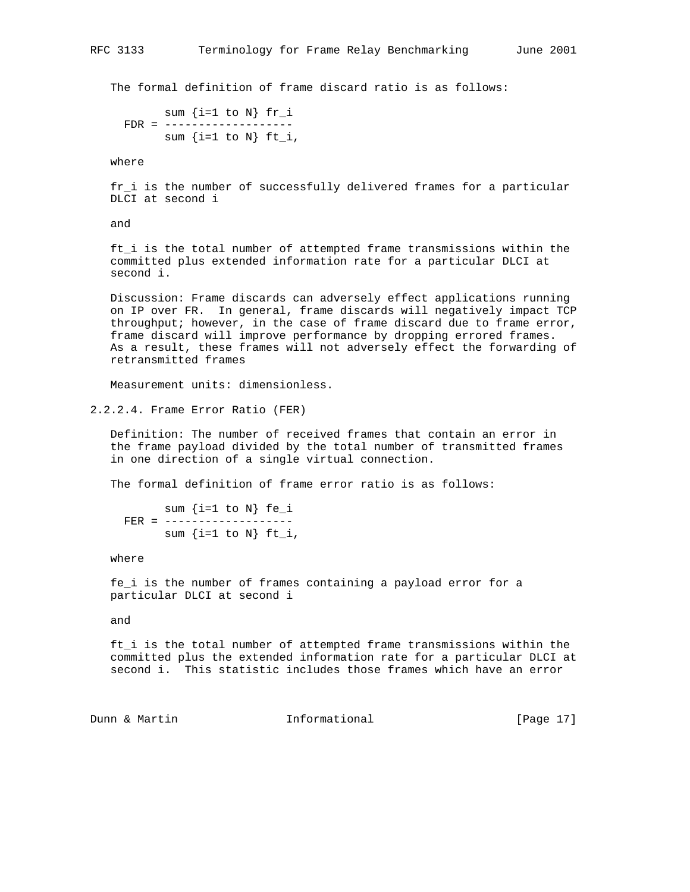The formal definition of frame discard ratio is as follows:

sum  $\{i=1 \text{ to } N\}$  fr i FDR = ------------------ sum  $\{i=1 \text{ to } N\}$  ft\_i,

where

 fr\_i is the number of successfully delivered frames for a particular DLCI at second i

and

 ft\_i is the total number of attempted frame transmissions within the committed plus extended information rate for a particular DLCI at second i.

 Discussion: Frame discards can adversely effect applications running on IP over FR. In general, frame discards will negatively impact TCP throughput; however, in the case of frame discard due to frame error, frame discard will improve performance by dropping errored frames. As a result, these frames will not adversely effect the forwarding of retransmitted frames

Measurement units: dimensionless.

2.2.2.4. Frame Error Ratio (FER)

 Definition: The number of received frames that contain an error in the frame payload divided by the total number of transmitted frames in one direction of a single virtual connection.

The formal definition of frame error ratio is as follows:

 sum {i=1 to N} fe\_i FER = -----------------sum  $\{i=1 \text{ to } N\}$  ft\_i,

where

 fe\_i is the number of frames containing a payload error for a particular DLCI at second i

and

 ft\_i is the total number of attempted frame transmissions within the committed plus the extended information rate for a particular DLCI at second i. This statistic includes those frames which have an error

Dunn & Martin **Informational** [Page 17]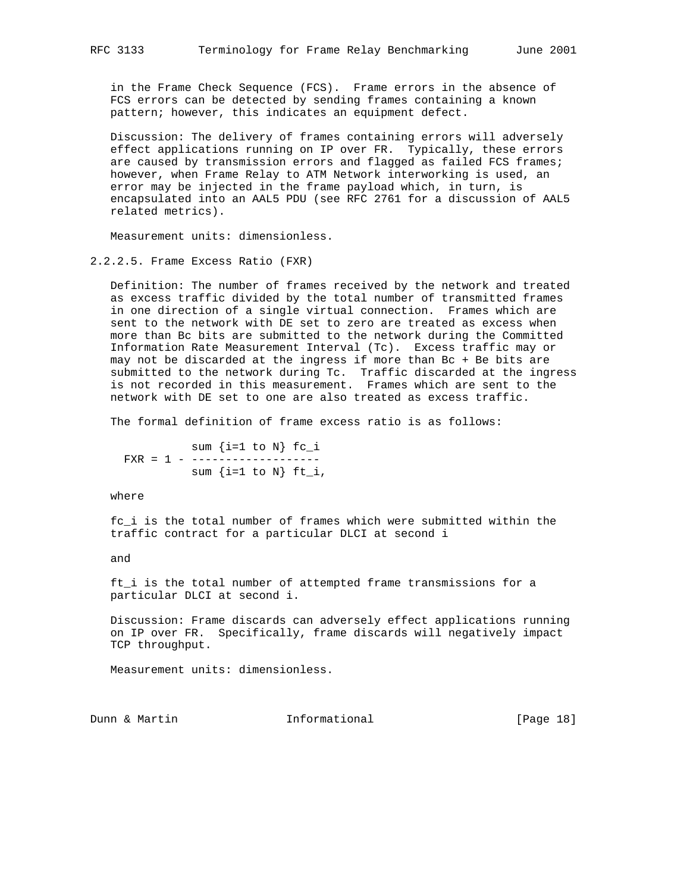in the Frame Check Sequence (FCS). Frame errors in the absence of FCS errors can be detected by sending frames containing a known pattern; however, this indicates an equipment defect.

 Discussion: The delivery of frames containing errors will adversely effect applications running on IP over FR. Typically, these errors are caused by transmission errors and flagged as failed FCS frames; however, when Frame Relay to ATM Network interworking is used, an error may be injected in the frame payload which, in turn, is encapsulated into an AAL5 PDU (see RFC 2761 for a discussion of AAL5 related metrics).

Measurement units: dimensionless.

2.2.2.5. Frame Excess Ratio (FXR)

 Definition: The number of frames received by the network and treated as excess traffic divided by the total number of transmitted frames in one direction of a single virtual connection. Frames which are sent to the network with DE set to zero are treated as excess when more than Bc bits are submitted to the network during the Committed Information Rate Measurement Interval (Tc). Excess traffic may or may not be discarded at the ingress if more than Bc + Be bits are submitted to the network during Tc. Traffic discarded at the ingress is not recorded in this measurement. Frames which are sent to the network with DE set to one are also treated as excess traffic.

The formal definition of frame excess ratio is as follows:

 sum {i=1 to N} fc\_i FXR = 1 - ------------------sum  $\{i=1 \text{ to } N\}$  ft\_i,

where

 fc\_i is the total number of frames which were submitted within the traffic contract for a particular DLCI at second i

and

 ft\_i is the total number of attempted frame transmissions for a particular DLCI at second i.

 Discussion: Frame discards can adversely effect applications running on IP over FR. Specifically, frame discards will negatively impact TCP throughput.

Measurement units: dimensionless.

Dunn & Martin **Informational** [Page 18]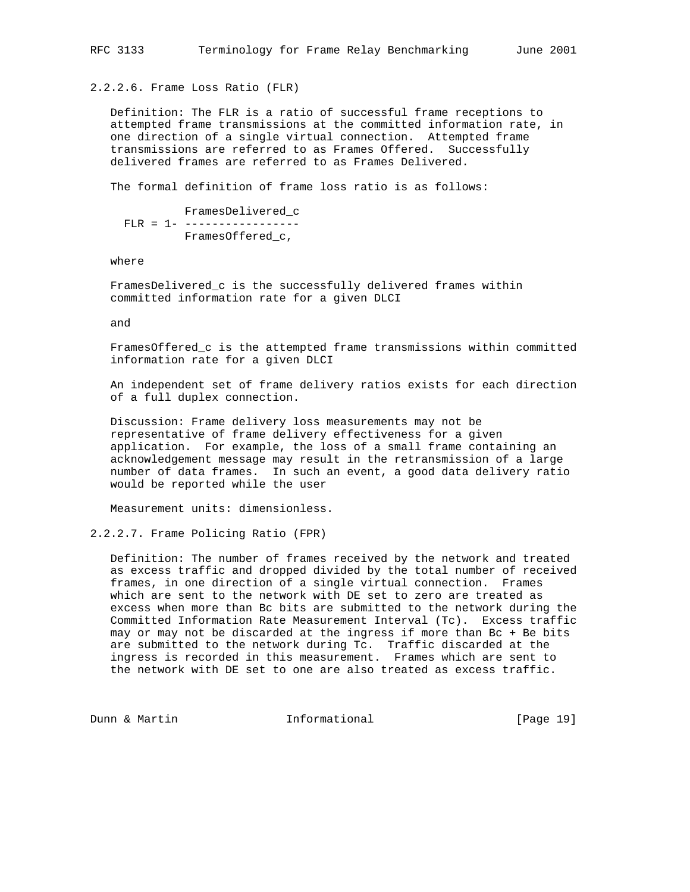2.2.2.6. Frame Loss Ratio (FLR)

 Definition: The FLR is a ratio of successful frame receptions to attempted frame transmissions at the committed information rate, in one direction of a single virtual connection. Attempted frame transmissions are referred to as Frames Offered. Successfully delivered frames are referred to as Frames Delivered.

The formal definition of frame loss ratio is as follows:

 FramesDelivered\_c FLR = 1- -----------------FramesOffered\_c,

where

 FramesDelivered\_c is the successfully delivered frames within committed information rate for a given DLCI

and

 FramesOffered\_c is the attempted frame transmissions within committed information rate for a given DLCI

 An independent set of frame delivery ratios exists for each direction of a full duplex connection.

 Discussion: Frame delivery loss measurements may not be representative of frame delivery effectiveness for a given application. For example, the loss of a small frame containing an acknowledgement message may result in the retransmission of a large number of data frames. In such an event, a good data delivery ratio would be reported while the user

Measurement units: dimensionless.

2.2.2.7. Frame Policing Ratio (FPR)

 Definition: The number of frames received by the network and treated as excess traffic and dropped divided by the total number of received frames, in one direction of a single virtual connection. Frames which are sent to the network with DE set to zero are treated as excess when more than Bc bits are submitted to the network during the Committed Information Rate Measurement Interval (Tc). Excess traffic may or may not be discarded at the ingress if more than Bc + Be bits are submitted to the network during Tc. Traffic discarded at the ingress is recorded in this measurement. Frames which are sent to the network with DE set to one are also treated as excess traffic.

Dunn & Martin **Informational** [Page 19]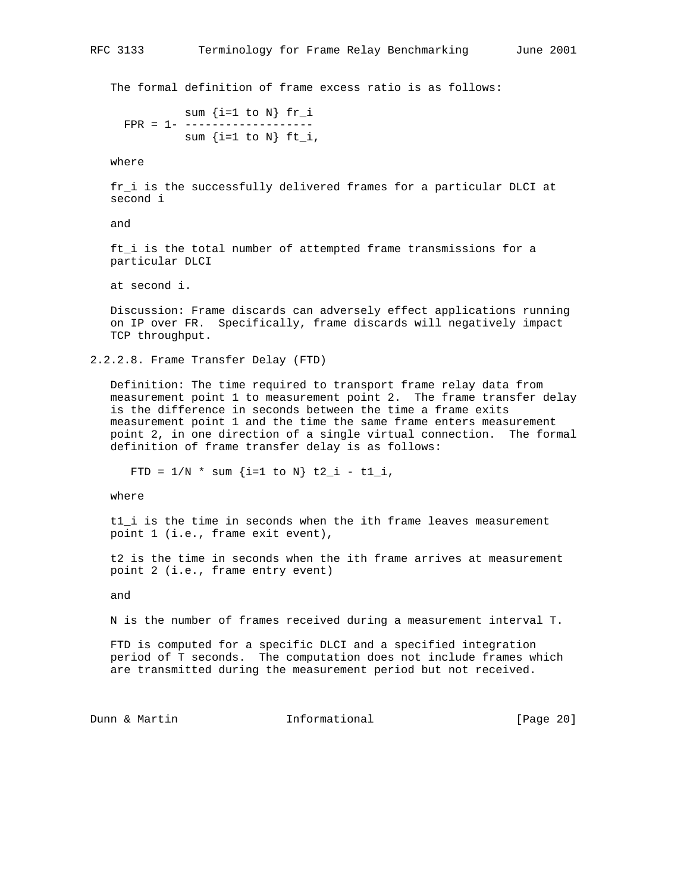The formal definition of frame excess ratio is as follows:

sum  $\{i=1 \text{ to } N\}$  fr i FPR = 1- ------------------ sum  $\{i=1 \text{ to } N\}$  ft\_i,

where

 fr\_i is the successfully delivered frames for a particular DLCI at second i

and

 ft\_i is the total number of attempted frame transmissions for a particular DLCI

at second i.

 Discussion: Frame discards can adversely effect applications running on IP over FR. Specifically, frame discards will negatively impact TCP throughput.

2.2.2.8. Frame Transfer Delay (FTD)

 Definition: The time required to transport frame relay data from measurement point 1 to measurement point 2. The frame transfer delay is the difference in seconds between the time a frame exits measurement point 1 and the time the same frame enters measurement point 2, in one direction of a single virtual connection. The formal definition of frame transfer delay is as follows:

FTD =  $1/N$  \* sum {i=1 to N} t2\_i - t1\_i,

where

 t1\_i is the time in seconds when the ith frame leaves measurement point 1 (i.e., frame exit event),

 t2 is the time in seconds when the ith frame arrives at measurement point 2 (i.e., frame entry event)

and

N is the number of frames received during a measurement interval T.

 FTD is computed for a specific DLCI and a specified integration period of T seconds. The computation does not include frames which are transmitted during the measurement period but not received.

Dunn & Martin Informational [Page 20]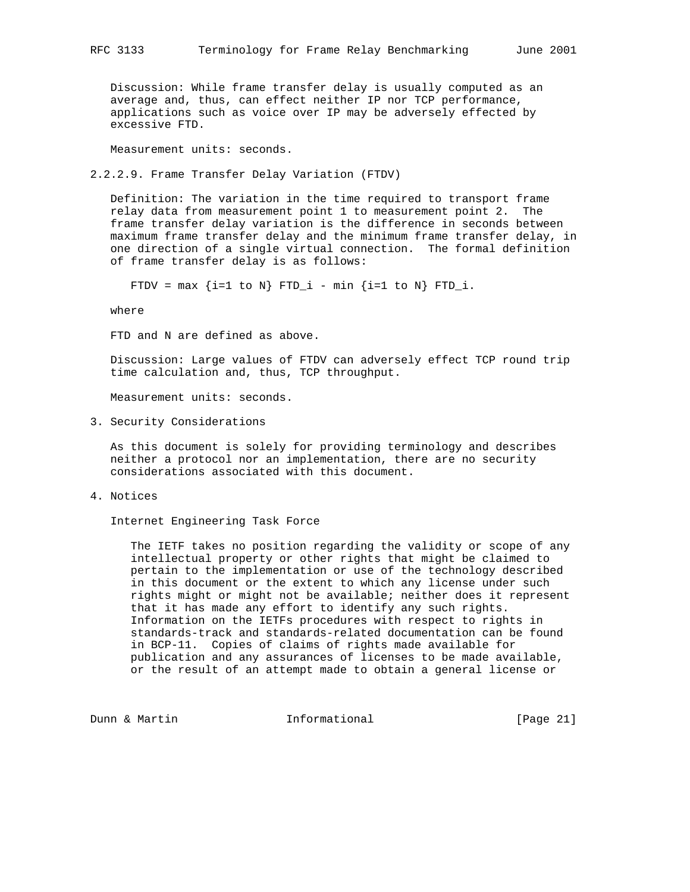Discussion: While frame transfer delay is usually computed as an average and, thus, can effect neither IP nor TCP performance, applications such as voice over IP may be adversely effected by excessive FTD.

Measurement units: seconds.

2.2.2.9. Frame Transfer Delay Variation (FTDV)

 Definition: The variation in the time required to transport frame relay data from measurement point 1 to measurement point 2. The frame transfer delay variation is the difference in seconds between maximum frame transfer delay and the minimum frame transfer delay, in one direction of a single virtual connection. The formal definition of frame transfer delay is as follows:

FTDV =  $max$  {i=1 to N} FTD\_i -  $min$  {i=1 to N} FTD\_i.

where

FTD and N are defined as above.

 Discussion: Large values of FTDV can adversely effect TCP round trip time calculation and, thus, TCP throughput.

Measurement units: seconds.

3. Security Considerations

 As this document is solely for providing terminology and describes neither a protocol nor an implementation, there are no security considerations associated with this document.

4. Notices

Internet Engineering Task Force

 The IETF takes no position regarding the validity or scope of any intellectual property or other rights that might be claimed to pertain to the implementation or use of the technology described in this document or the extent to which any license under such rights might or might not be available; neither does it represent that it has made any effort to identify any such rights. Information on the IETFs procedures with respect to rights in standards-track and standards-related documentation can be found in BCP-11. Copies of claims of rights made available for publication and any assurances of licenses to be made available, or the result of an attempt made to obtain a general license or

Dunn & Martin Informational [Page 21]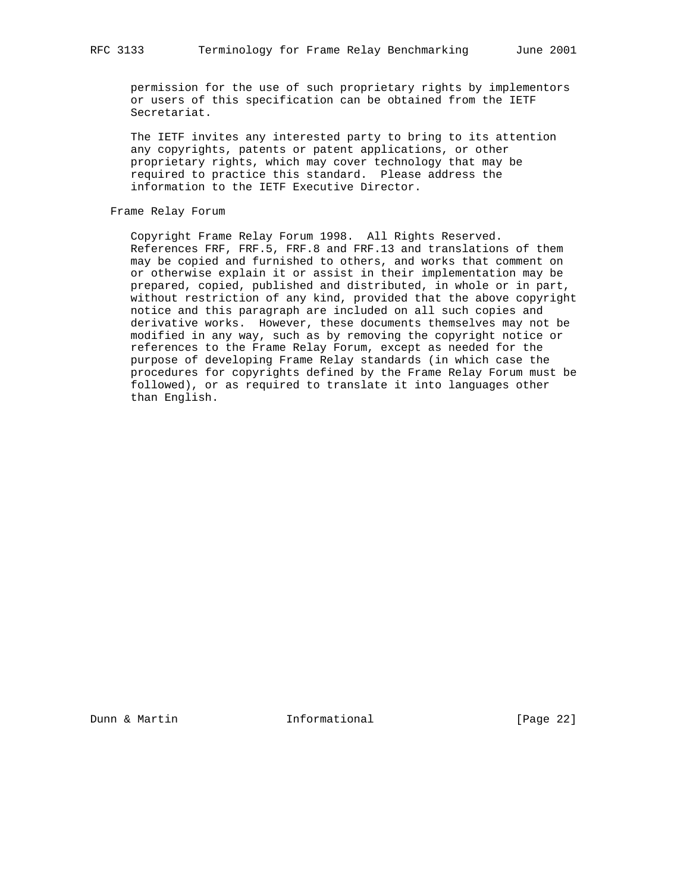permission for the use of such proprietary rights by implementors or users of this specification can be obtained from the IETF Secretariat.

 The IETF invites any interested party to bring to its attention any copyrights, patents or patent applications, or other proprietary rights, which may cover technology that may be required to practice this standard. Please address the information to the IETF Executive Director.

# Frame Relay Forum

 Copyright Frame Relay Forum 1998. All Rights Reserved. References FRF, FRF.5, FRF.8 and FRF.13 and translations of them may be copied and furnished to others, and works that comment on or otherwise explain it or assist in their implementation may be prepared, copied, published and distributed, in whole or in part, without restriction of any kind, provided that the above copyright notice and this paragraph are included on all such copies and derivative works. However, these documents themselves may not be modified in any way, such as by removing the copyright notice or references to the Frame Relay Forum, except as needed for the purpose of developing Frame Relay standards (in which case the procedures for copyrights defined by the Frame Relay Forum must be followed), or as required to translate it into languages other than English.

Dunn & Martin **Informational** [Page 22]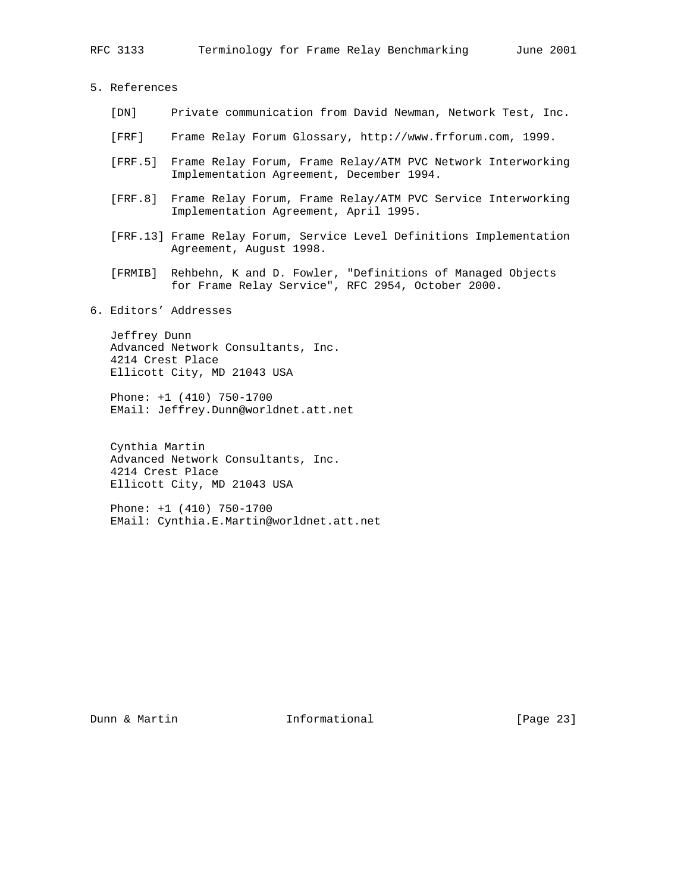5. References

- [DN] Private communication from David Newman, Network Test, Inc.
- [FRF] Frame Relay Forum Glossary, http://www.frforum.com, 1999.
- [FRF.5] Frame Relay Forum, Frame Relay/ATM PVC Network Interworking Implementation Agreement, December 1994.
- [FRF.8] Frame Relay Forum, Frame Relay/ATM PVC Service Interworking Implementation Agreement, April 1995.
- [FRF.13] Frame Relay Forum, Service Level Definitions Implementation Agreement, August 1998.
- [FRMIB] Rehbehn, K and D. Fowler, "Definitions of Managed Objects for Frame Relay Service", RFC 2954, October 2000.
- 6. Editors' Addresses

 Jeffrey Dunn Advanced Network Consultants, Inc. 4214 Crest Place Ellicott City, MD 21043 USA

 Phone: +1 (410) 750-1700 EMail: Jeffrey.Dunn@worldnet.att.net

 Cynthia Martin Advanced Network Consultants, Inc. 4214 Crest Place Ellicott City, MD 21043 USA

 Phone: +1 (410) 750-1700 EMail: Cynthia.E.Martin@worldnet.att.net

Dunn & Martin **Informational** [Page 23]